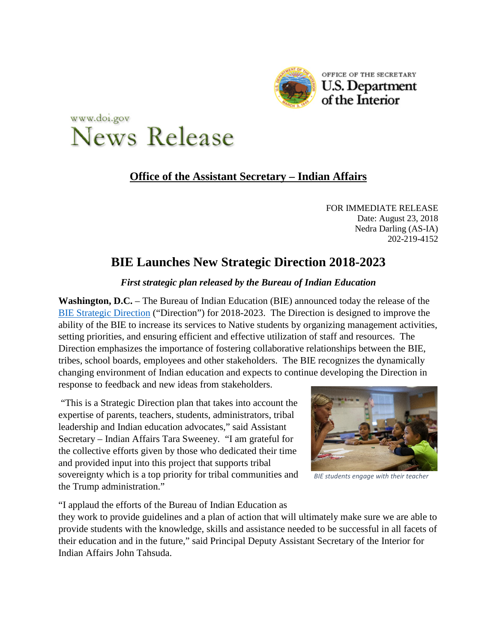



## **Office of the Assistant Secretary – Indian Affairs**

FOR IMMEDIATE RELEASE Date: August 23, 2018 Nedra Darling (AS-IA) 202-219-4152

## **BIE Launches New Strategic Direction 2018-2023**

## *First strategic plan released by the Bureau of Indian Education*

**Washington, D.C.** – The Bureau of Indian Education (BIE) announced today the release of the [BIE Strategic Direction](https://www.bie.edu/StrategicDirection/index.htm) ("Direction") for 2018-2023. The Direction is designed to improve the ability of the BIE to increase its services to Native students by organizing management activities, setting priorities, and ensuring efficient and effective utilization of staff and resources. The Direction emphasizes the importance of fostering collaborative relationships between the BIE, tribes, school boards, employees and other stakeholders. The BIE recognizes the dynamically changing environment of Indian education and expects to continue developing the Direction in response to feedback and new ideas from stakeholders.

"This is a Strategic Direction plan that takes into account the expertise of parents, teachers, students, administrators, tribal leadership and Indian education advocates," said Assistant Secretary – Indian Affairs Tara Sweeney. "I am grateful for the collective efforts given by those who dedicated their time and provided input into this project that supports tribal sovereignty which is a top priority for tribal communities and the Trump administration."



*BIE students engage with their teacher*

"I applaud the efforts of the Bureau of Indian Education as

they work to provide guidelines and a plan of action that will ultimately make sure we are able to provide students with the knowledge, skills and assistance needed to be successful in all facets of their education and in the future," said Principal Deputy Assistant Secretary of the Interior for Indian Affairs John Tahsuda.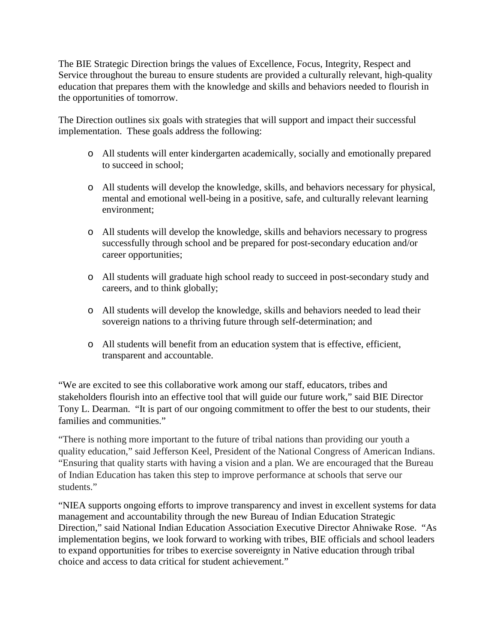The BIE Strategic Direction brings the values of Excellence, Focus, Integrity, Respect and Service throughout the bureau to ensure students are provided a culturally relevant, high-quality education that prepares them with the knowledge and skills and behaviors needed to flourish in the opportunities of tomorrow.

The Direction outlines six goals with strategies that will support and impact their successful implementation. These goals address the following:

- o All students will enter kindergarten academically, socially and emotionally prepared to succeed in school;
- o All students will develop the knowledge, skills, and behaviors necessary for physical, mental and emotional well-being in a positive, safe, and culturally relevant learning environment;
- o All students will develop the knowledge, skills and behaviors necessary to progress successfully through school and be prepared for post-secondary education and/or career opportunities;
- o All students will graduate high school ready to succeed in post-secondary study and careers, and to think globally;
- o All students will develop the knowledge, skills and behaviors needed to lead their sovereign nations to a thriving future through self-determination; and
- o All students will benefit from an education system that is effective, efficient, transparent and accountable.

"We are excited to see this collaborative work among our staff, educators, tribes and stakeholders flourish into an effective tool that will guide our future work," said BIE Director Tony L. Dearman. "It is part of our ongoing commitment to offer the best to our students, their families and communities."

"There is nothing more important to the future of tribal nations than providing our youth a quality education," said Jefferson Keel, President of the National Congress of American Indians. "Ensuring that quality starts with having a vision and a plan. We are encouraged that the Bureau of Indian Education has taken this step to improve performance at schools that serve our students."

"NIEA supports ongoing efforts to improve transparency and invest in excellent systems for data management and accountability through the new Bureau of Indian Education Strategic Direction," said National Indian Education Association Executive Director Ahniwake Rose. "As implementation begins, we look forward to working with tribes, BIE officials and school leaders to expand opportunities for tribes to exercise sovereignty in Native education through tribal choice and access to data critical for student achievement."